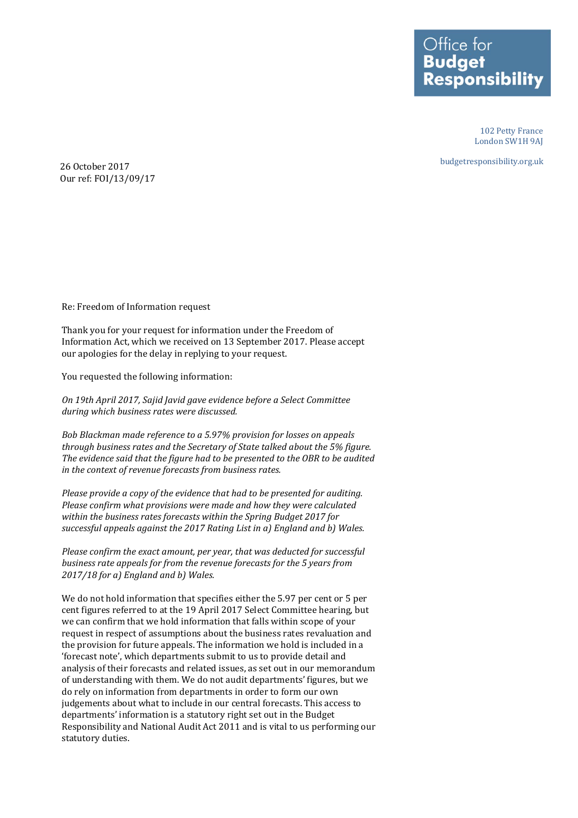Office for **Budget Responsibility** 

> 102 Petty France London SW1H 9AJ

budgetresponsibility.org.uk

26 October 2017 Our ref: FOI/13/09/17

Re: Freedom of Information request

Thank you for your request for information under the Freedom of Information Act, which we received on 13 September 2017. Please accept our apologies for the delay in replying to your request.

You requested the following information:

*On 19th April 2017, Sajid Javid gave evidence before a Select Committee during which business rates were discussed.*

*Bob Blackman made reference to a 5.97% provision for losses on appeals through business rates and the Secretary of State talked about the 5% figure. The evidence said that the figure had to be presented to the OBR to be audited in the context of revenue forecasts from business rates.* 

*Please provide a copy of the evidence that had to be presented for auditing. Please confirm what provisions were made and how they were calculated within the business rates forecasts within the Spring Budget 2017 for successful appeals against the 2017 Rating List in a) England and b) Wales.*

*Please confirm the exact amount, per year, that was deducted for successful business rate appeals for from the revenue forecasts for the 5 years from 2017/18 for a) England and b) Wales.*

We do not hold information that specifies either the 5.97 per cent or 5 per cent figures referred to at the 19 April 2017 Select Committee hearing, but we can confirm that we hold information that falls within scope of your request in respect of assumptions about the business rates revaluation and the provision for future appeals. The information we hold is included in a 'forecast note', which departments submit to us to provide detail and analysis of their forecasts and related issues, as set out in our memorandum of understanding with them. We do not audit departments' figures, but we do rely on information from departments in order to form our own judgements about what to include in our central forecasts. This access to departments' information is a statutory right set out in the Budget Responsibility and National Audit Act 2011 and is vital to us performing our statutory duties.